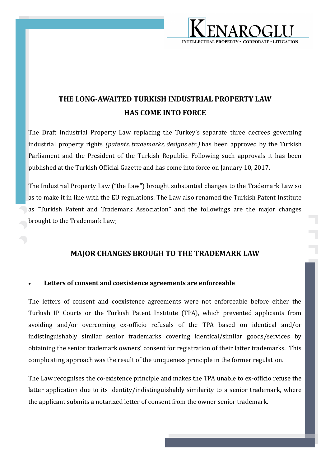

# **THE LONG-AWAITED TURKISH INDUSTRIAL PROPERTY LAW HAS COME INTO FORCE**

The Draft Industrial Property Law replacing the Turkey's separate three decrees governing industrial property rights *(patents, trademarks, designs etc.)* has been approved by the Turkish Parliament and the President of the Turkish Republic. Following such approvals it has been published at the Turkish Official Gazette and has come into force on January 10, 2017.

The Industrial Property Law ("the Law") brought substantial changes to the Trademark Law so as to make it in line with the EU regulations. The Law also renamed the Turkish Patent Institute as "Turkish Patent and Trademark Association" and the followings are the major changes brought to the Trademark Law;

## **MAJOR CHANGES BROUGH TO THE TRADEMARK LAW**

### **Letters of consent and coexistence agreements are enforceable**

The letters of consent and coexistence agreements were not enforceable before either the Turkish IP Courts or the Turkish Patent Institute (TPA), which prevented applicants from avoiding and/or overcoming ex-officio refusals of the TPA based on identical and/or indistinguishably similar senior trademarks covering identical/similar goods/services by obtaining the senior trademark owners' consent for registration of their latter trademarks. This complicating approach was the result of the uniqueness principle in the former regulation.

The Law recognises the co-existence principle and makes the TPA unable to ex-officio refuse the latter application due to its identity/indistinguishably similarity to a senior trademark, where the applicant submits a notarized letter of consent from the owner senior trademark.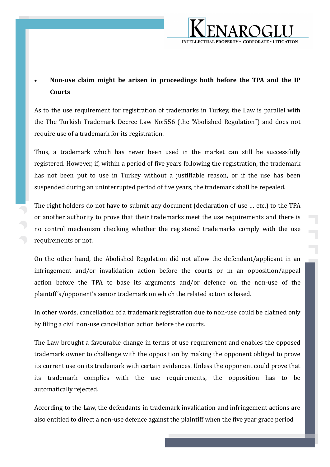

## **Non-use claim might be arisen in proceedings both before the TPA and the IP Courts**

As to the use requirement for registration of trademarks in Turkey, the Law is parallel with the The Turkish Trademark Decree Law No:556 (the "Abolished Regulation") and does not require use of a trademark for its registration.

Thus, a trademark which has never been used in the market can still be successfully registered. However, if, within a period of five years following the registration, the trademark has not been put to use in Turkey without a justifiable reason, or if the use has been suspended during an uninterrupted period of five years, the trademark shall be repealed.

The right holders do not have to submit any document (declaration of use … etc.) to the TPA or another authority to prove that their trademarks meet the use requirements and there is no control mechanism checking whether the registered trademarks comply with the use requirements or not.

On the other hand, the Abolished Regulation did not allow the defendant/applicant in an infringement and/or invalidation action before the courts or in an opposition/appeal action before the TPA to base its arguments and/or defence on the non-use of the plaintiff's/opponent's senior trademark on which the related action is based.

In other words, cancellation of a trademark registration due to non-use could be claimed only by filing a civil non-use cancellation action before the courts.

The Law brought a favourable change in terms of use requirement and enables the opposed trademark owner to challenge with the opposition by making the opponent obliged to prove its current use on its trademark with certain evidences. Unless the opponent could prove that its trademark complies with the use requirements, the opposition has to be automatically rejected.

According to the Law, the defendants in trademark invalidation and infringement actions are also entitled to direct a non-use defence against the plaintiff when the five year grace period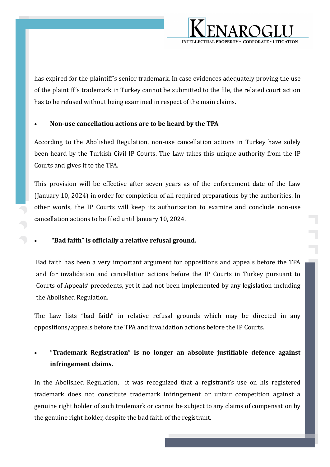

has expired for the plaintiff's senior trademark. In case evidences adequately proving the use of the plaintiff's trademark in Turkey cannot be submitted to the file, the related court action has to be refused without being examined in respect of the main claims.

### **Non-use cancellation actions are to be heard by the TPA**

According to the Abolished Regulation, non-use cancellation actions in Turkey have solely been heard by the Turkish Civil IP Courts. The Law takes this unique authority from the IP Courts and gives it to the TPA.

This provision will be effective after seven years as of the enforcement date of the Law (January 10, 2024) in order for completion of all required preparations by the authorities. In other words, the IP Courts will keep its authorization to examine and conclude non-use cancellation actions to be filed until January 10, 2024.

### **"Bad faith" is officially a relative refusal ground.**

Bad faith has been a very important argument for oppositions and appeals before the TPA and for invalidation and cancellation actions before the IP Courts in Turkey pursuant to Courts of Appeals' precedents, yet it had not been implemented by any legislation including the Abolished Regulation.

The Law lists "bad faith" in relative refusal grounds which may be directed in any oppositions/appeals before the TPA and invalidation actions before the IP Courts.

## **"Trademark Registration" is no longer an absolute justifiable defence against infringement claims.**

In the Abolished Regulation, it was recognized that a registrant's use on his registered trademark does not constitute trademark infringement or unfair competition against a genuine right holder of such trademark or cannot be subject to any claims of compensation by the genuine right holder, despite the bad faith of the registrant.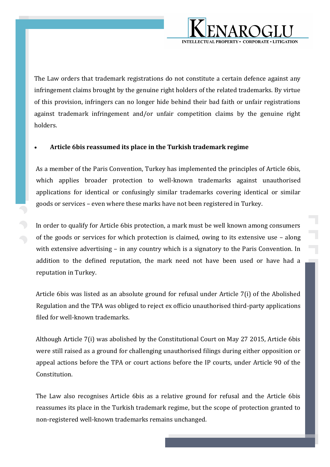

The Law orders that trademark registrations do not constitute a certain defence against any infringement claims brought by the genuine right holders of the related trademarks. By virtue of this provision, infringers can no longer hide behind their bad faith or unfair registrations against trademark infringement and/or unfair competition claims by the genuine right holders.

### **Article 6bis reassumed its place in the Turkish trademark regime**

As a member of the Paris Convention, Turkey has implemented the principles of Article 6bis, which applies broader protection to well-known trademarks against unauthorised applications for identical or confusingly similar trademarks covering identical or similar goods or services – even where these marks have not been registered in Turkey.

In order to qualify for Article 6bis protection, a mark must be well known among consumers of the goods or services for which protection is claimed, owing to its extensive use – along with extensive advertising – in any country which is a signatory to the Paris Convention. In addition to the defined reputation, the mark need not have been used or have had a reputation in Turkey.

Article 6bis was listed as an absolute ground for refusal under Article 7(i) of the Abolished Regulation and the TPA was obliged to reject ex officio unauthorised third-party applications filed for well-known trademarks.

Although Article 7(i) was abolished by the Constitutional Court on May 27 2015, Article 6bis were still raised as a ground for challenging unauthorised filings during either opposition or appeal actions before the TPA or court actions before the IP courts, under Article 90 of the Constitution.

The Law also recognises Article 6bis as a relative ground for refusal and the Article 6bis reassumes its place in the Turkish trademark regime, but the scope of protection granted to non-registered well-known trademarks remains unchanged.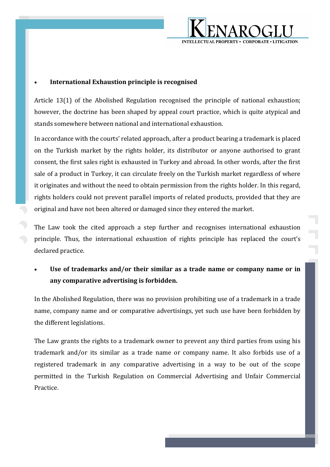

#### **International Exhaustion principle is recognised**

Article 13(1) of the Abolished Regulation recognised the principle of national exhaustion; however, the doctrine has been shaped by appeal court practice, which is quite atypical and stands somewhere between national and international exhaustion.

In accordance with the courts' related approach, after a product bearing a trademark is placed on the Turkish market by the rights holder, its distributor or anyone authorised to grant consent, the first sales right is exhausted in Turkey and abroad. In other words, after the first sale of a product in Turkey, it can circulate freely on the Turkish market regardless of where it originates and without the need to obtain permission from the rights holder. In this regard, rights holders could not prevent parallel imports of related products, provided that they are original and have not been altered or damaged since they entered the market.

The Law took the cited approach a step further and recognises international exhaustion principle. Thus, the international exhaustion of rights principle has replaced the court's declared practice.

 **Use of trademarks and/or their similar as a trade name or company name or in any comparative advertising is forbidden.** 

In the Abolished Regulation, there was no provision prohibiting use of a trademark in a trade name, company name and or comparative advertisings, yet such use have been forbidden by the different legislations.

The Law grants the rights to a trademark owner to prevent any third parties from using his trademark and/or its similar as a trade name or company name. It also forbids use of a registered trademark in any comparative advertising in a way to be out of the scope permitted in the Turkish Regulation on Commercial Advertising and Unfair Commercial Practice.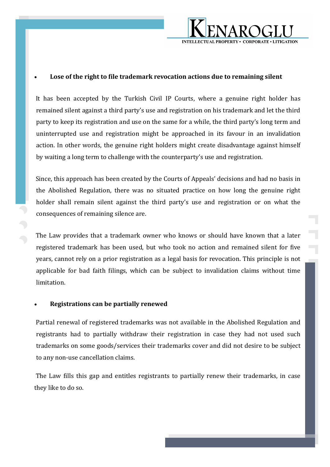

#### **Lose of the right to file trademark revocation actions due to remaining silent**

It has been accepted by the Turkish Civil IP Courts, where a genuine right holder has remained silent against a third party's use and registration on his trademark and let the third party to keep its registration and use on the same for a while, the third party's long term and uninterrupted use and registration might be approached in its favour in an invalidation action. In other words, the genuine right holders might create disadvantage against himself by waiting a long term to challenge with the counterparty's use and registration.

Since, this approach has been created by the Courts of Appeals' decisions and had no basis in the Abolished Regulation, there was no situated practice on how long the genuine right holder shall remain silent against the third party's use and registration or on what the consequences of remaining silence are.

The Law provides that a trademark owner who knows or should have known that a later registered trademark has been used, but who took no action and remained silent for five years, cannot rely on a prior registration as a legal basis for revocation. This principle is not applicable for bad faith filings, which can be subject to invalidation claims without time limitation.

#### **Registrations can be partially renewed**

Partial renewal of registered trademarks was not available in the Abolished Regulation and registrants had to partially withdraw their registration in case they had not used such trademarks on some goods/services their trademarks cover and did not desire to be subject to any non-use cancellation claims.

The Law fills this gap and entitles registrants to partially renew their trademarks, in case they like to do so.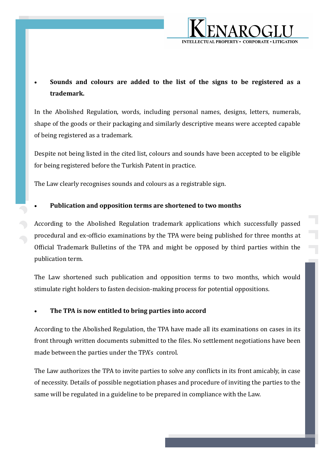

## **Sounds and colours are added to the list of the signs to be registered as a trademark.**

In the Abolished Regulation, words, including personal names, designs, letters, numerals, shape of the goods or their packaging and similarly descriptive means were accepted capable of being registered as a trademark.

Despite not being listed in the cited list, colours and sounds have been accepted to be eligible for being registered before the Turkish Patent in practice.

The Law clearly recognises sounds and colours as a registrable sign.

### **Publication and opposition terms are shortened to two months**

According to the Abolished Regulation trademark applications which successfully passed procedural and ex-officio examinations by the TPA were being published for three months at Official Trademark Bulletins of the TPA and might be opposed by third parties within the publication term.

The Law shortened such publication and opposition terms to two months, which would stimulate right holders to fasten decision-making process for potential oppositions.

### **The TPA is now entitled to bring parties into accord**

According to the Abolished Regulation, the TPA have made all its examinations on cases in its front through written documents submitted to the files. No settlement negotiations have been made between the parties under the TPA's control.

The Law authorizes the TPA to invite parties to solve any conflicts in its front amicably, in case of necessity. Details of possible negotiation phases and procedure of inviting the parties to the same will be regulated in a guideline to be prepared in compliance with the Law.